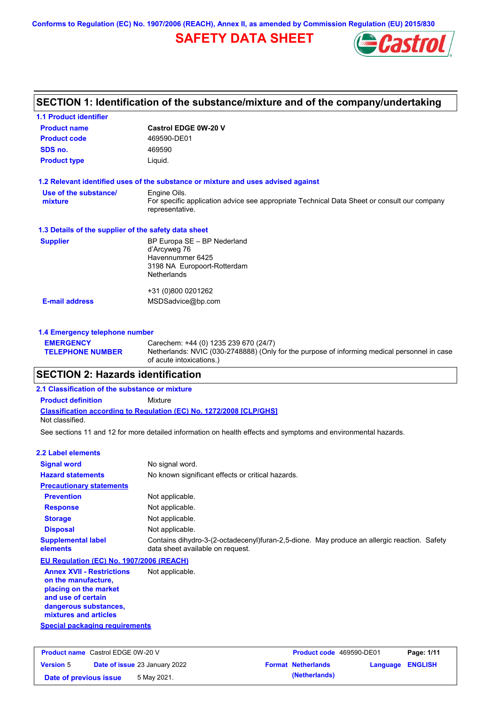**Conforms to Regulation (EC) No. 1907/2006 (REACH), Annex II, as amended by Commission Regulation (EU) 2015/830**

# **SAFETY DATA SHEET**



## **SECTION 1: Identification of the substance/mixture and of the company/undertaking**

| <b>1.1 Product identifier</b>                        |                                                                                                                |
|------------------------------------------------------|----------------------------------------------------------------------------------------------------------------|
| <b>Product name</b>                                  | <b>Castrol EDGE 0W-20 V</b>                                                                                    |
| <b>Product code</b>                                  | 469590-DE01                                                                                                    |
| SDS no.                                              | 469590                                                                                                         |
| <b>Product type</b>                                  | Liquid.                                                                                                        |
|                                                      | 1.2 Relevant identified uses of the substance or mixture and uses advised against                              |
| Use of the substance/                                | Engine Oils.                                                                                                   |
| mixture                                              | For specific application advice see appropriate Technical Data Sheet or consult our company<br>representative. |
| 1.3 Details of the supplier of the safety data sheet |                                                                                                                |
| <b>Supplier</b>                                      | BP Europa SE - BP Nederland                                                                                    |
|                                                      | d'Arcyweg 76                                                                                                   |
|                                                      | Havennummer 6425<br>3198 NA Europoort-Rotterdam                                                                |
|                                                      | <b>Netherlands</b>                                                                                             |
|                                                      | +31 (0)800 0201262                                                                                             |
| <b>E-mail address</b>                                | MSDSadvice@bp.com                                                                                              |
|                                                      |                                                                                                                |
| 1.4 Emergency telephone number                       |                                                                                                                |

#### **EMERGENCY TELEPHONE NUMBER** Carechem: +44 (0) 1235 239 670 (24/7) Netherlands: NVIC (030-2748888) (Only for the purpose of informing medical personnel in case of acute intoxications.)

## **SECTION 2: Hazards identification**

### **Classification according to Regulation (EC) No. 1272/2008 [CLP/GHS] 2.1 Classification of the substance or mixture Product definition** Mixture Not classified.

See sections 11 and 12 for more detailed information on health effects and symptoms and environmental hazards.

| 2.2 Label elements                                                                                                                                       |                                                                                                                                 |
|----------------------------------------------------------------------------------------------------------------------------------------------------------|---------------------------------------------------------------------------------------------------------------------------------|
| <b>Signal word</b>                                                                                                                                       | No signal word.                                                                                                                 |
| <b>Hazard statements</b>                                                                                                                                 | No known significant effects or critical hazards.                                                                               |
| <b>Precautionary statements</b>                                                                                                                          |                                                                                                                                 |
| <b>Prevention</b>                                                                                                                                        | Not applicable.                                                                                                                 |
| <b>Response</b>                                                                                                                                          | Not applicable.                                                                                                                 |
| <b>Storage</b>                                                                                                                                           | Not applicable.                                                                                                                 |
| <b>Disposal</b>                                                                                                                                          | Not applicable.                                                                                                                 |
| <b>Supplemental label</b><br>elements                                                                                                                    | Contains dihydro-3-(2-octadecenyl)furan-2,5-dione. May produce an allergic reaction. Safety<br>data sheet available on request. |
| EU Regulation (EC) No. 1907/2006 (REACH)                                                                                                                 |                                                                                                                                 |
| <b>Annex XVII - Restrictions</b><br>on the manufacture,<br>placing on the market<br>and use of certain<br>dangerous substances,<br>mixtures and articles | Not applicable.                                                                                                                 |
| <b>Special packaging requirements</b>                                                                                                                    |                                                                                                                                 |
|                                                                                                                                                          |                                                                                                                                 |

| <b>Product name</b> Castrol EDGE 0W-20 V |  | <b>Product code</b> 469590-DE01      |  | Page: 1/11                |                         |  |
|------------------------------------------|--|--------------------------------------|--|---------------------------|-------------------------|--|
| <b>Version 5</b>                         |  | <b>Date of issue 23 January 2022</b> |  | <b>Format Netherlands</b> | <b>Language ENGLISH</b> |  |
| Date of previous issue                   |  | 5 May 2021.                          |  | (Netherlands)             |                         |  |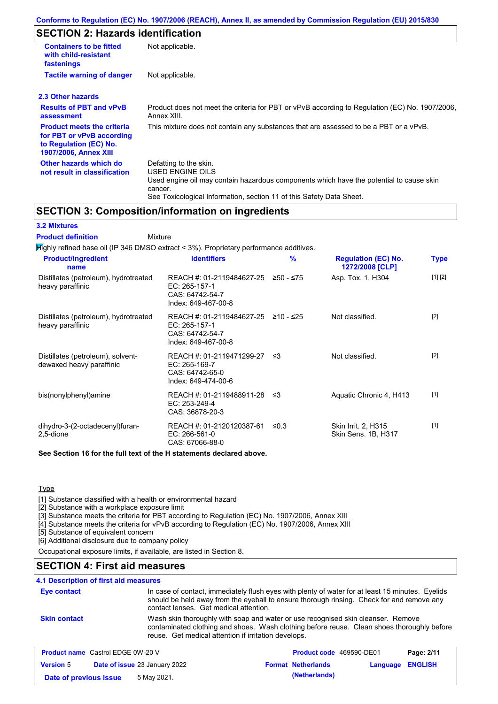# **SECTION 2: Hazards identification**

| <b>Containers to be fitted</b><br>with child-resistant<br>fastenings                                              | Not applicable.                                                                                                                                                                                                          |
|-------------------------------------------------------------------------------------------------------------------|--------------------------------------------------------------------------------------------------------------------------------------------------------------------------------------------------------------------------|
| <b>Tactile warning of danger</b>                                                                                  | Not applicable.                                                                                                                                                                                                          |
| 2.3 Other hazards                                                                                                 |                                                                                                                                                                                                                          |
| <b>Results of PBT and vPvB</b><br>assessment                                                                      | Product does not meet the criteria for PBT or vPvB according to Regulation (EC) No. 1907/2006,<br>Annex XIII.                                                                                                            |
| <b>Product meets the criteria</b><br>for PBT or vPvB according<br>to Regulation (EC) No.<br>1907/2006, Annex XIII | This mixture does not contain any substances that are assessed to be a PBT or a vPvB.                                                                                                                                    |
| Other hazards which do<br>not result in classification                                                            | Defatting to the skin.<br>USED ENGINE OILS<br>Used engine oil may contain hazardous components which have the potential to cause skin<br>cancer.<br>See Toxicological Information, section 11 of this Safety Data Sheet. |

## **SECTION 3: Composition/information on ingredients**

#### **3.2 Mixtures**

Mixture **Product definition**

| <b>Product/ingredient</b><br>name                             | <b>Identifiers</b>                                                                      | %          | <b>Regulation (EC) No.</b><br>1272/2008 [CLP] | <b>Type</b> |
|---------------------------------------------------------------|-----------------------------------------------------------------------------------------|------------|-----------------------------------------------|-------------|
| Distillates (petroleum), hydrotreated<br>heavy paraffinic     | REACH #: 01-2119484627-25<br>EC: 265-157-1<br>CAS: 64742-54-7<br>Index: 649-467-00-8    | ≥50 - ≤75  | Asp. Tox. 1, H304                             | [1] [2]     |
| Distillates (petroleum), hydrotreated<br>heavy paraffinic     | REACH #: 01-2119484627-25<br>EC: 265-157-1<br>CAS: 64742-54-7<br>Index: 649-467-00-8    | ≥10 - ≤25  | Not classified.                               | $[2]$       |
| Distillates (petroleum), solvent-<br>dewaxed heavy paraffinic | REACH #: 01-2119471299-27 ≤3<br>EC: 265-169-7<br>CAS: 64742-65-0<br>Index: 649-474-00-6 |            | Not classified.                               | $[2]$       |
| bis(nonylphenyl)amine                                         | REACH #: 01-2119488911-28 ≤3<br>EC: 253-249-4<br>CAS: 36878-20-3                        |            | Aquatic Chronic 4, H413                       | $[1]$       |
| dihydro-3-(2-octadecenyl)furan-<br>2,5-dione                  | REACH #: 01-2120120387-61<br>$EC: 266-561-0$<br>CAS: 67066-88-0                         | $\leq 0.3$ | Skin Irrit. 2, H315<br>Skin Sens. 1B, H317    | $[1]$       |

**Type** 

[1] Substance classified with a health or environmental hazard

[2] Substance with a workplace exposure limit

[3] Substance meets the criteria for PBT according to Regulation (EC) No. 1907/2006, Annex XIII

[4] Substance meets the criteria for vPvB according to Regulation (EC) No. 1907/2006, Annex XIII

[5] Substance of equivalent concern

[6] Additional disclosure due to company policy

Occupational exposure limits, if available, are listed in Section 8.

## **SECTION 4: First aid measures**

### **4.1 Description of first aid measures**

| Eye contact                              | contact lenses. Get medical attention.               | In case of contact, immediately flush eyes with plenty of water for at least 15 minutes. Eyelids<br>should be held away from the eyeball to ensure thorough rinsing. Check for and remove any |            |
|------------------------------------------|------------------------------------------------------|-----------------------------------------------------------------------------------------------------------------------------------------------------------------------------------------------|------------|
| <b>Skin contact</b>                      | reuse. Get medical attention if irritation develops. | Wash skin thoroughly with soap and water or use recognised skin cleanser. Remove<br>contaminated clothing and shoes. Wash clothing before reuse. Clean shoes thoroughly before                |            |
| <b>Product name</b> Castrol EDGE 0W-20 V |                                                      | Product code 469590-DE01                                                                                                                                                                      | Page: 2/11 |

| <b>Product name</b> Castion EDGE 0W-20 V |  | <b>Product code</b> 409090-DEUT |  | Page: 2/11                |                  |  |
|------------------------------------------|--|---------------------------------|--|---------------------------|------------------|--|
| <b>Version 5</b>                         |  | Date of issue 23 January 2022   |  | <b>Format Netherlands</b> | Language ENGLISH |  |
| Date of previous issue                   |  | 5 May 2021.                     |  | (Netherlands)             |                  |  |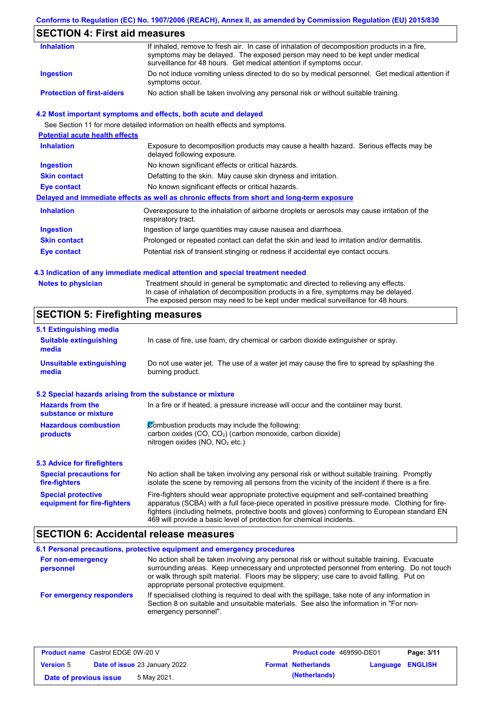#### **Conforms to Regulation (EC) No. 1907/2006 (REACH), Annex II, as amended by Commission Regulation (EU) 2015/830**

## **SECTION 4: First aid measures**

| <b>Inhalation</b>                 | If inhaled, remove to fresh air. In case of inhalation of decomposition products in a fire,<br>symptoms may be delayed. The exposed person may need to be kept under medical             |
|-----------------------------------|------------------------------------------------------------------------------------------------------------------------------------------------------------------------------------------|
| Ingestion                         | surveillance for 48 hours. Get medical attention if symptoms occur.<br>Do not induce vomiting unless directed to do so by medical personnel. Get medical attention if<br>symptoms occur. |
| <b>Protection of first-aiders</b> | No action shall be taken involving any personal risk or without suitable training.                                                                                                       |

#### **4.2 Most important symptoms and effects, both acute and delayed**

See Section 11 for more detailed information on health effects and symptoms.

| <b>Potential acute health effects</b> |                                                                                                                     |
|---------------------------------------|---------------------------------------------------------------------------------------------------------------------|
| <b>Inhalation</b>                     | Exposure to decomposition products may cause a health hazard. Serious effects may be<br>delayed following exposure. |
| <b>Ingestion</b>                      | No known significant effects or critical hazards.                                                                   |
| <b>Skin contact</b>                   | Defatting to the skin. May cause skin dryness and irritation.                                                       |
| Eye contact                           | No known significant effects or critical hazards.                                                                   |
|                                       | Delayed and immediate effects as well as chronic effects from short and long-term exposure                          |
| <b>Inhalation</b>                     | Overexposure to the inhalation of airborne droplets or aerosols may cause irritation of the<br>respiratory tract.   |
| <b>Ingestion</b>                      | Ingestion of large quantities may cause nausea and diarrhoea.                                                       |
| <b>Skin contact</b>                   | Prolonged or repeated contact can defat the skin and lead to irritation and/or dermatitis.                          |
| Eye contact                           | Potential risk of transient stinging or redness if accidental eye contact occurs.                                   |
|                                       |                                                                                                                     |

#### **4.3 Indication of any immediate medical attention and special treatment needed**

| <b>Notes to physician</b> | Treatment should in general be symptomatic and directed to relieving any effects.   |
|---------------------------|-------------------------------------------------------------------------------------|
|                           | In case of inhalation of decomposition products in a fire, symptoms may be delayed. |
|                           | The exposed person may need to be kept under medical surveillance for 48 hours.     |

## **SECTION 5: Firefighting measures**

| 5.1 Extinguishing media                                   |                                                                                                                                                                                                                                                                                                                                                                   |
|-----------------------------------------------------------|-------------------------------------------------------------------------------------------------------------------------------------------------------------------------------------------------------------------------------------------------------------------------------------------------------------------------------------------------------------------|
| <b>Suitable extinguishing</b><br>media                    | In case of fire, use foam, dry chemical or carbon dioxide extinguisher or spray.                                                                                                                                                                                                                                                                                  |
| <b>Unsuitable extinguishing</b><br>media                  | Do not use water jet. The use of a water jet may cause the fire to spread by splashing the<br>burning product.                                                                                                                                                                                                                                                    |
| 5.2 Special hazards arising from the substance or mixture |                                                                                                                                                                                                                                                                                                                                                                   |
| <b>Hazards from the</b><br>substance or mixture           | In a fire or if heated, a pressure increase will occur and the container may burst.                                                                                                                                                                                                                                                                               |
| <b>Hazardous combustion</b><br>products                   | Combustion products may include the following:<br>carbon oxides (CO, CO <sub>2</sub> ) (carbon monoxide, carbon dioxide)<br>nitrogen oxides (NO, NO <sub>2</sub> etc.)                                                                                                                                                                                            |
| <b>5.3 Advice for firefighters</b>                        |                                                                                                                                                                                                                                                                                                                                                                   |
| <b>Special precautions for</b><br>fire-fighters           | No action shall be taken involving any personal risk or without suitable training. Promptly<br>isolate the scene by removing all persons from the vicinity of the incident if there is a fire.                                                                                                                                                                    |
| <b>Special protective</b><br>equipment for fire-fighters  | Fire-fighters should wear appropriate protective equipment and self-contained breathing<br>apparatus (SCBA) with a full face-piece operated in positive pressure mode. Clothing for fire-<br>fighters (including helmets, protective boots and gloves) conforming to European standard EN<br>469 will provide a basic level of protection for chemical incidents. |

## **SECTION 6: Accidental release measures**

#### **6.1 Personal precautions, protective equipment and emergency procedures For non-emergency personnel For emergency responders** No action shall be taken involving any personal risk or without suitable training. Evacuate surrounding areas. Keep unnecessary and unprotected personnel from entering. Do not touch or walk through spilt material. Floors may be slippery; use care to avoid falling. Put on appropriate personal protective equipment. If specialised clothing is required to deal with the spillage, take note of any information in Section 8 on suitable and unsuitable materials. See also the information in "For nonemergency personnel".

| <b>Product name</b> Castrol EDGE 0W-20 V |  | <b>Product code</b> 469590-DE01      |  | Page: 3/11                |                  |  |
|------------------------------------------|--|--------------------------------------|--|---------------------------|------------------|--|
| <b>Version 5</b>                         |  | <b>Date of issue 23 January 2022</b> |  | <b>Format Netherlands</b> | Language ENGLISH |  |
| Date of previous issue                   |  | 5 May 2021.                          |  | (Netherlands)             |                  |  |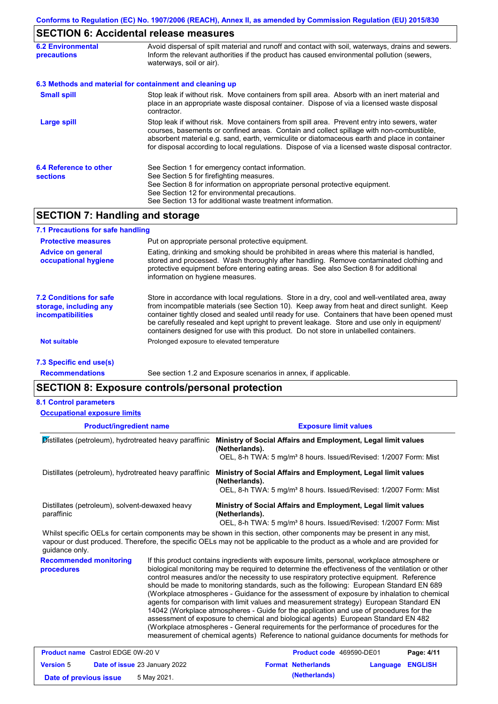# **SECTION 6: Accidental release measures**

| <b>6.2 Environmental</b><br><b>precautions</b> | Avoid dispersal of spilt material and runoff and contact with soil, waterways, drains and sewers.<br>Inform the relevant authorities if the product has caused environmental pollution (sewers,<br>waterways, soil or air).                                                                                                                                                                    |  |
|------------------------------------------------|------------------------------------------------------------------------------------------------------------------------------------------------------------------------------------------------------------------------------------------------------------------------------------------------------------------------------------------------------------------------------------------------|--|
|                                                | 6.3 Methods and material for containment and cleaning up                                                                                                                                                                                                                                                                                                                                       |  |
| <b>Small spill</b>                             | Stop leak if without risk. Move containers from spill area. Absorb with an inert material and<br>place in an appropriate waste disposal container. Dispose of via a licensed waste disposal<br>contractor.                                                                                                                                                                                     |  |
| <b>Large spill</b>                             | Stop leak if without risk. Move containers from spill area. Prevent entry into sewers, water<br>courses, basements or confined areas. Contain and collect spillage with non-combustible,<br>absorbent material e.g. sand, earth, vermiculite or diatomaceous earth and place in container<br>for disposal according to local regulations. Dispose of via a licensed waste disposal contractor. |  |
| 6.4 Reference to other<br><b>sections</b>      | See Section 1 for emergency contact information.<br>See Section 5 for firefighting measures.<br>See Section 8 for information on appropriate personal protective equipment.<br>See Section 12 for environmental precautions.<br>See Section 13 for additional waste treatment information.                                                                                                     |  |

# **SECTION 7: Handling and storage**

| 7.1 Precautions for safe handling                                                    |                                                                                                                                                                                                                                                                                                                                                                                                                                                                                          |
|--------------------------------------------------------------------------------------|------------------------------------------------------------------------------------------------------------------------------------------------------------------------------------------------------------------------------------------------------------------------------------------------------------------------------------------------------------------------------------------------------------------------------------------------------------------------------------------|
| <b>Protective measures</b>                                                           | Put on appropriate personal protective equipment.                                                                                                                                                                                                                                                                                                                                                                                                                                        |
| <b>Advice on general</b><br>occupational hygiene                                     | Eating, drinking and smoking should be prohibited in areas where this material is handled,<br>stored and processed. Wash thoroughly after handling. Remove contaminated clothing and<br>protective equipment before entering eating areas. See also Section 8 for additional<br>information on hygiene measures.                                                                                                                                                                         |
| <b>7.2 Conditions for safe</b><br>storage, including any<br><i>incompatibilities</i> | Store in accordance with local regulations. Store in a dry, cool and well-ventilated area, away<br>from incompatible materials (see Section 10). Keep away from heat and direct sunlight. Keep<br>container tightly closed and sealed until ready for use. Containers that have been opened must<br>be carefully resealed and kept upright to prevent leakage. Store and use only in equipment/<br>containers designed for use with this product. Do not store in unlabelled containers. |
| <b>Not suitable</b>                                                                  | Prolonged exposure to elevated temperature                                                                                                                                                                                                                                                                                                                                                                                                                                               |
| 7.3 Specific end use(s)                                                              |                                                                                                                                                                                                                                                                                                                                                                                                                                                                                          |

**Recommendations**

See section 1.2 and Exposure scenarios in annex, if applicable.

## **SECTION 8: Exposure controls/personal protection**

|  | <b>8.1 Control parameters</b> |
|--|-------------------------------|
|--|-------------------------------|

| <b>Occupational exposure limits</b>                                                                                                                                                                                                                                                                                                                                                                                                                                                        |                                                                                                                                                                                                                                                                                                                                                                                                                                                                                                                                                                                                                                                                                                                                                                                                                                                                                                                                                        |                                                                                                                                                                                                                                                                                                                                                                                                                                                                                                   |  |  |  |
|--------------------------------------------------------------------------------------------------------------------------------------------------------------------------------------------------------------------------------------------------------------------------------------------------------------------------------------------------------------------------------------------------------------------------------------------------------------------------------------------|--------------------------------------------------------------------------------------------------------------------------------------------------------------------------------------------------------------------------------------------------------------------------------------------------------------------------------------------------------------------------------------------------------------------------------------------------------------------------------------------------------------------------------------------------------------------------------------------------------------------------------------------------------------------------------------------------------------------------------------------------------------------------------------------------------------------------------------------------------------------------------------------------------------------------------------------------------|---------------------------------------------------------------------------------------------------------------------------------------------------------------------------------------------------------------------------------------------------------------------------------------------------------------------------------------------------------------------------------------------------------------------------------------------------------------------------------------------------|--|--|--|
| <b>Product/ingredient name</b>                                                                                                                                                                                                                                                                                                                                                                                                                                                             |                                                                                                                                                                                                                                                                                                                                                                                                                                                                                                                                                                                                                                                                                                                                                                                                                                                                                                                                                        | <b>Exposure limit values</b>                                                                                                                                                                                                                                                                                                                                                                                                                                                                      |  |  |  |
| Distillates (petroleum), hydrotreated heavy paraffinic                                                                                                                                                                                                                                                                                                                                                                                                                                     |                                                                                                                                                                                                                                                                                                                                                                                                                                                                                                                                                                                                                                                                                                                                                                                                                                                                                                                                                        | Ministry of Social Affairs and Employment, Legal limit values<br>(Netherlands).<br>OEL, 8-h TWA: 5 mg/m <sup>3</sup> 8 hours. Issued/Revised: 1/2007 Form: Mist                                                                                                                                                                                                                                                                                                                                   |  |  |  |
| Distillates (petroleum), hydrotreated heavy paraffinic                                                                                                                                                                                                                                                                                                                                                                                                                                     |                                                                                                                                                                                                                                                                                                                                                                                                                                                                                                                                                                                                                                                                                                                                                                                                                                                                                                                                                        | Ministry of Social Affairs and Employment, Legal limit values<br>(Netherlands).<br>OEL, 8-h TWA: 5 mg/m <sup>3</sup> 8 hours. Issued/Revised: 1/2007 Form: Mist                                                                                                                                                                                                                                                                                                                                   |  |  |  |
| Distillates (petroleum), solvent-dewaxed heavy<br>paraffinic                                                                                                                                                                                                                                                                                                                                                                                                                               |                                                                                                                                                                                                                                                                                                                                                                                                                                                                                                                                                                                                                                                                                                                                                                                                                                                                                                                                                        | Ministry of Social Affairs and Employment, Legal limit values<br>(Netherlands).<br>OEL, 8-h TWA: 5 mg/m <sup>3</sup> 8 hours. Issued/Revised: 1/2007 Form: Mist                                                                                                                                                                                                                                                                                                                                   |  |  |  |
| guidance only.                                                                                                                                                                                                                                                                                                                                                                                                                                                                             |                                                                                                                                                                                                                                                                                                                                                                                                                                                                                                                                                                                                                                                                                                                                                                                                                                                                                                                                                        | Whilst specific OELs for certain components may be shown in this section, other components may be present in any mist,<br>vapour or dust produced. Therefore, the specific OELs may not be applicable to the product as a whole and are provided for                                                                                                                                                                                                                                              |  |  |  |
| <b>Recommended monitoring</b><br>procedures                                                                                                                                                                                                                                                                                                                                                                                                                                                | If this product contains ingredients with exposure limits, personal, workplace atmosphere or<br>biological monitoring may be required to determine the effectiveness of the ventilation or other<br>control measures and/or the necessity to use respiratory protective equipment. Reference<br>should be made to monitoring standards, such as the following: European Standard EN 689<br>(Workplace atmospheres - Guidance for the assessment of exposure by inhalation to chemical<br>agents for comparison with limit values and measurement strategy) European Standard EN<br>14042 (Workplace atmospheres - Guide for the application and use of procedures for the<br>assessment of exposure to chemical and biological agents) European Standard EN 482<br>(Workplace atmospheres - General requirements for the performance of procedures for the<br>measurement of chemical agents) Reference to national guidance documents for methods for |                                                                                                                                                                                                                                                                                                                                                                                                                                                                                                   |  |  |  |
| $\blacksquare$ $\blacksquare$ $\blacksquare$ $\blacksquare$ $\blacksquare$ $\blacksquare$ $\blacksquare$ $\blacksquare$ $\blacksquare$ $\blacksquare$ $\blacksquare$ $\blacksquare$ $\blacksquare$ $\blacksquare$ $\blacksquare$ $\blacksquare$ $\blacksquare$ $\blacksquare$ $\blacksquare$ $\blacksquare$ $\blacksquare$ $\blacksquare$ $\blacksquare$ $\blacksquare$ $\blacksquare$ $\blacksquare$ $\blacksquare$ $\blacksquare$ $\blacksquare$ $\blacksquare$ $\blacksquare$ $\blacks$ |                                                                                                                                                                                                                                                                                                                                                                                                                                                                                                                                                                                                                                                                                                                                                                                                                                                                                                                                                        | $\blacksquare$ $\blacksquare$ $\blacksquare$ $\blacksquare$ $\blacksquare$ $\blacksquare$ $\blacksquare$ $\blacksquare$ $\blacksquare$ $\blacksquare$ $\blacksquare$ $\blacksquare$ $\blacksquare$ $\blacksquare$ $\blacksquare$ $\blacksquare$ $\blacksquare$ $\blacksquare$ $\blacksquare$ $\blacksquare$ $\blacksquare$ $\blacksquare$ $\blacksquare$ $\blacksquare$ $\blacksquare$ $\blacksquare$ $\blacksquare$ $\blacksquare$ $\blacksquare$ $\blacksquare$ $\blacksquare$ $\blacks$<br>- - |  |  |  |

| <b>Product name</b> Castrol EDGE 0W-20 V |  | <b>Product code</b> 469590-DE01      |  | Page: 4/11                |                  |  |
|------------------------------------------|--|--------------------------------------|--|---------------------------|------------------|--|
| <b>Version 5</b>                         |  | <b>Date of issue 23 January 2022</b> |  | <b>Format Netherlands</b> | Language ENGLISH |  |
| Date of previous issue                   |  | 5 May 2021.                          |  | (Netherlands)             |                  |  |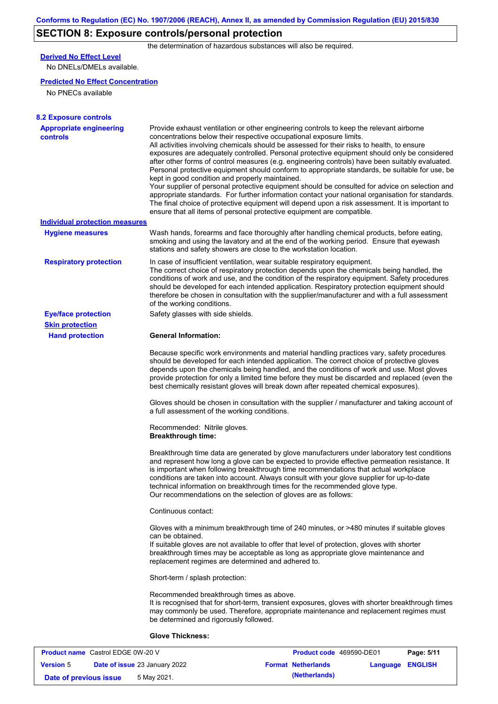# **SECTION 8: Exposure controls/personal protection**

the determination of hazardous substances will also be required.

## **Derived No Effect Level**

No DNELs/DMELs available.

#### **Predicted No Effect Concentration**

No PNECs available

| <b>8.2 Exposure controls</b>               |                                                                                                                                                                                                                                                                                                                                                                                                                                                                                                                                                                                                                                                                                                                                                                                                                                                                                                                                                                                                         |
|--------------------------------------------|---------------------------------------------------------------------------------------------------------------------------------------------------------------------------------------------------------------------------------------------------------------------------------------------------------------------------------------------------------------------------------------------------------------------------------------------------------------------------------------------------------------------------------------------------------------------------------------------------------------------------------------------------------------------------------------------------------------------------------------------------------------------------------------------------------------------------------------------------------------------------------------------------------------------------------------------------------------------------------------------------------|
| <b>Appropriate engineering</b><br>controls | Provide exhaust ventilation or other engineering controls to keep the relevant airborne<br>concentrations below their respective occupational exposure limits.<br>All activities involving chemicals should be assessed for their risks to health, to ensure<br>exposures are adequately controlled. Personal protective equipment should only be considered<br>after other forms of control measures (e.g. engineering controls) have been suitably evaluated.<br>Personal protective equipment should conform to appropriate standards, be suitable for use, be<br>kept in good condition and properly maintained.<br>Your supplier of personal protective equipment should be consulted for advice on selection and<br>appropriate standards. For further information contact your national organisation for standards.<br>The final choice of protective equipment will depend upon a risk assessment. It is important to<br>ensure that all items of personal protective equipment are compatible. |
| <b>Individual protection measures</b>      |                                                                                                                                                                                                                                                                                                                                                                                                                                                                                                                                                                                                                                                                                                                                                                                                                                                                                                                                                                                                         |
| <b>Hygiene measures</b>                    | Wash hands, forearms and face thoroughly after handling chemical products, before eating,<br>smoking and using the lavatory and at the end of the working period. Ensure that eyewash<br>stations and safety showers are close to the workstation location.                                                                                                                                                                                                                                                                                                                                                                                                                                                                                                                                                                                                                                                                                                                                             |
| <b>Respiratory protection</b>              | In case of insufficient ventilation, wear suitable respiratory equipment.<br>The correct choice of respiratory protection depends upon the chemicals being handled, the<br>conditions of work and use, and the condition of the respiratory equipment. Safety procedures<br>should be developed for each intended application. Respiratory protection equipment should<br>therefore be chosen in consultation with the supplier/manufacturer and with a full assessment<br>of the working conditions.                                                                                                                                                                                                                                                                                                                                                                                                                                                                                                   |
| <b>Eye/face protection</b>                 | Safety glasses with side shields.                                                                                                                                                                                                                                                                                                                                                                                                                                                                                                                                                                                                                                                                                                                                                                                                                                                                                                                                                                       |
| <b>Skin protection</b>                     |                                                                                                                                                                                                                                                                                                                                                                                                                                                                                                                                                                                                                                                                                                                                                                                                                                                                                                                                                                                                         |
| <b>Hand protection</b>                     | <b>General Information:</b>                                                                                                                                                                                                                                                                                                                                                                                                                                                                                                                                                                                                                                                                                                                                                                                                                                                                                                                                                                             |
|                                            | Because specific work environments and material handling practices vary, safety procedures<br>should be developed for each intended application. The correct choice of protective gloves<br>depends upon the chemicals being handled, and the conditions of work and use. Most gloves<br>provide protection for only a limited time before they must be discarded and replaced (even the<br>best chemically resistant gloves will break down after repeated chemical exposures).                                                                                                                                                                                                                                                                                                                                                                                                                                                                                                                        |
|                                            | Gloves should be chosen in consultation with the supplier / manufacturer and taking account of<br>a full assessment of the working conditions.                                                                                                                                                                                                                                                                                                                                                                                                                                                                                                                                                                                                                                                                                                                                                                                                                                                          |
|                                            | Recommended: Nitrile gloves.<br><b>Breakthrough time:</b>                                                                                                                                                                                                                                                                                                                                                                                                                                                                                                                                                                                                                                                                                                                                                                                                                                                                                                                                               |
|                                            | Breakthrough time data are generated by glove manufacturers under laboratory test conditions<br>and represent how long a glove can be expected to provide effective permeation resistance. It<br>is important when following breakthrough time recommendations that actual workplace<br>conditions are taken into account. Always consult with your glove supplier for up-to-date<br>technical information on breakthrough times for the recommended glove type.<br>Our recommendations on the selection of gloves are as follows:                                                                                                                                                                                                                                                                                                                                                                                                                                                                      |
|                                            | Continuous contact:                                                                                                                                                                                                                                                                                                                                                                                                                                                                                                                                                                                                                                                                                                                                                                                                                                                                                                                                                                                     |
|                                            | Gloves with a minimum breakthrough time of 240 minutes, or >480 minutes if suitable gloves<br>can be obtained.<br>If suitable gloves are not available to offer that level of protection, gloves with shorter<br>breakthrough times may be acceptable as long as appropriate glove maintenance and<br>replacement regimes are determined and adhered to.                                                                                                                                                                                                                                                                                                                                                                                                                                                                                                                                                                                                                                                |
|                                            | Short-term / splash protection:                                                                                                                                                                                                                                                                                                                                                                                                                                                                                                                                                                                                                                                                                                                                                                                                                                                                                                                                                                         |
|                                            | Recommended breakthrough times as above.<br>It is recognised that for short-term, transient exposures, gloves with shorter breakthrough times<br>may commonly be used. Therefore, appropriate maintenance and replacement regimes must<br>be determined and rigorously followed.                                                                                                                                                                                                                                                                                                                                                                                                                                                                                                                                                                                                                                                                                                                        |
|                                            | <b>Glove Thickness:</b>                                                                                                                                                                                                                                                                                                                                                                                                                                                                                                                                                                                                                                                                                                                                                                                                                                                                                                                                                                                 |
|                                            |                                                                                                                                                                                                                                                                                                                                                                                                                                                                                                                                                                                                                                                                                                                                                                                                                                                                                                                                                                                                         |

| <b>Product name</b> Castrol EDGE 0W-20 V |                                      | <b>Product code</b> 469590-DE01 |          | Page: 5/11     |
|------------------------------------------|--------------------------------------|---------------------------------|----------|----------------|
| <b>Version 5</b>                         | <b>Date of issue 23 January 2022</b> | <b>Format Netherlands</b>       | Language | <b>ENGLISH</b> |
| Date of previous issue                   | 5 May 2021.                          | (Netherlands)                   |          |                |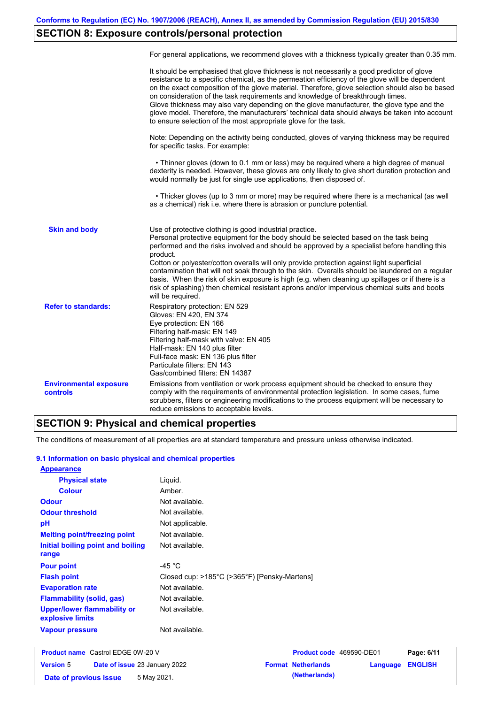# **SECTION 8: Exposure controls/personal protection**

|                                           | For general applications, we recommend gloves with a thickness typically greater than 0.35 mm.                                                                                                                                                                                                                                                                                                                                                                                                                                                                                                                                                                                        |
|-------------------------------------------|---------------------------------------------------------------------------------------------------------------------------------------------------------------------------------------------------------------------------------------------------------------------------------------------------------------------------------------------------------------------------------------------------------------------------------------------------------------------------------------------------------------------------------------------------------------------------------------------------------------------------------------------------------------------------------------|
|                                           | It should be emphasised that glove thickness is not necessarily a good predictor of glove<br>resistance to a specific chemical, as the permeation efficiency of the glove will be dependent<br>on the exact composition of the glove material. Therefore, glove selection should also be based<br>on consideration of the task requirements and knowledge of breakthrough times.<br>Glove thickness may also vary depending on the glove manufacturer, the glove type and the<br>glove model. Therefore, the manufacturers' technical data should always be taken into account<br>to ensure selection of the most appropriate glove for the task.                                     |
|                                           | Note: Depending on the activity being conducted, gloves of varying thickness may be required<br>for specific tasks. For example:                                                                                                                                                                                                                                                                                                                                                                                                                                                                                                                                                      |
|                                           | • Thinner gloves (down to 0.1 mm or less) may be required where a high degree of manual<br>dexterity is needed. However, these gloves are only likely to give short duration protection and<br>would normally be just for single use applications, then disposed of.                                                                                                                                                                                                                                                                                                                                                                                                                  |
|                                           | • Thicker gloves (up to 3 mm or more) may be required where there is a mechanical (as well<br>as a chemical) risk i.e. where there is abrasion or puncture potential.                                                                                                                                                                                                                                                                                                                                                                                                                                                                                                                 |
| <b>Skin and body</b>                      | Use of protective clothing is good industrial practice.<br>Personal protective equipment for the body should be selected based on the task being<br>performed and the risks involved and should be approved by a specialist before handling this<br>product.<br>Cotton or polyester/cotton overalls will only provide protection against light superficial<br>contamination that will not soak through to the skin. Overalls should be laundered on a regular<br>basis. When the risk of skin exposure is high (e.g. when cleaning up spillages or if there is a<br>risk of splashing) then chemical resistant aprons and/or impervious chemical suits and boots<br>will be required. |
| <b>Refer to standards:</b>                | Respiratory protection: EN 529<br>Gloves: EN 420, EN 374<br>Eye protection: EN 166<br>Filtering half-mask: EN 149<br>Filtering half-mask with valve: EN 405<br>Half-mask: EN 140 plus filter<br>Full-face mask: EN 136 plus filter<br>Particulate filters: EN 143<br>Gas/combined filters: EN 14387                                                                                                                                                                                                                                                                                                                                                                                   |
| <b>Environmental exposure</b><br>controls | Emissions from ventilation or work process equipment should be checked to ensure they<br>comply with the requirements of environmental protection legislation. In some cases, fume<br>scrubbers, filters or engineering modifications to the process equipment will be necessary to<br>reduce emissions to acceptable levels.                                                                                                                                                                                                                                                                                                                                                         |

## **SECTION 9: Physical and chemical properties**

The conditions of measurement of all properties are at standard temperature and pressure unless otherwise indicated.

### **9.1 Information on basic physical and chemical properties**

| <b>Appearance</b>                               |                                              |
|-------------------------------------------------|----------------------------------------------|
| <b>Physical state</b>                           | Liguid.                                      |
| <b>Colour</b>                                   | Amber.                                       |
| <b>Odour</b>                                    | Not available.                               |
| <b>Odour threshold</b>                          | Not available.                               |
| pH                                              | Not applicable.                              |
| <b>Melting point/freezing point</b>             | Not available.                               |
| Initial boiling point and boiling<br>range      | Not available.                               |
| <b>Pour point</b>                               | -45 $^{\circ}$ C                             |
| <b>Flash point</b>                              | Closed cup: >185°C (>365°F) [Pensky-Martens] |
| <b>Evaporation rate</b>                         | Not available.                               |
| <b>Flammability (solid, gas)</b>                | Not available.                               |
| Upper/lower flammability or<br>explosive limits | Not available.                               |
| <b>Vapour pressure</b>                          | Not available.                               |

| <b>Product name</b> Castrol EDGE 0W-20 V |  | <b>Product code</b> 469590-DE01      |                           | Page: 6/11              |  |
|------------------------------------------|--|--------------------------------------|---------------------------|-------------------------|--|
| <b>Version 5</b>                         |  | <b>Date of issue 23 January 2022</b> | <b>Format Netherlands</b> | <b>Language ENGLISH</b> |  |
| Date of previous issue                   |  | 5 May 2021.                          | (Netherlands)             |                         |  |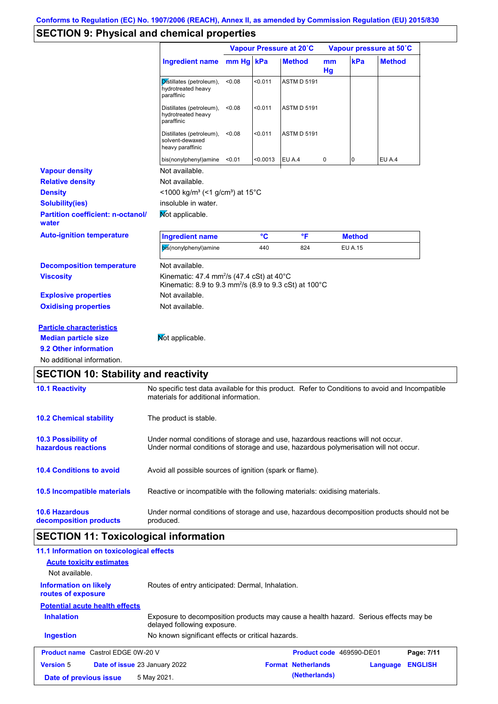# **SECTION 9: Physical and chemical properties**

|                                                   |                                                                                                                                                  | Vapour Pressure at 20°C |          |                    | Vapour pressure at 50°C |               |               |
|---------------------------------------------------|--------------------------------------------------------------------------------------------------------------------------------------------------|-------------------------|----------|--------------------|-------------------------|---------------|---------------|
|                                                   | <b>Ingredient name</b>                                                                                                                           | mm Hg kPa               |          | <b>Method</b>      | m <sub>m</sub><br>Hg    | kPa           | <b>Method</b> |
|                                                   | Distillates (petroleum),<br>hydrotreated heavy<br>paraffinic                                                                                     | < 0.08                  | < 0.011  | <b>ASTM D 5191</b> |                         |               |               |
|                                                   | Distillates (petroleum),<br>hydrotreated heavy<br>paraffinic                                                                                     | < 0.08                  | < 0.011  | <b>ASTM D 5191</b> |                         |               |               |
|                                                   | Distillates (petroleum),<br>solvent-dewaxed<br>heavy paraffinic                                                                                  | < 0.08                  | < 0.011  | <b>ASTM D 5191</b> |                         |               |               |
|                                                   | bis(nonylphenyl)amine                                                                                                                            | < 0.01                  | < 0.0013 | EU A.4             | 0                       | 0             | EU A.4        |
| <b>Vapour density</b>                             | Not available.                                                                                                                                   |                         |          |                    |                         |               |               |
| <b>Relative density</b>                           | Not available.                                                                                                                                   |                         |          |                    |                         |               |               |
| <b>Density</b>                                    | <1000 kg/m <sup>3</sup> (<1 g/cm <sup>3</sup> ) at 15 <sup>°</sup> C                                                                             |                         |          |                    |                         |               |               |
| <b>Solubility(ies)</b>                            | insoluble in water.                                                                                                                              |                         |          |                    |                         |               |               |
| <b>Partition coefficient: n-octanol/</b><br>water | Mot applicable.                                                                                                                                  |                         |          |                    |                         |               |               |
| <b>Auto-ignition temperature</b>                  | <b>Ingredient name</b>                                                                                                                           |                         | °C       | °F                 |                         | <b>Method</b> |               |
|                                                   | bis(nonylphenyl)amine                                                                                                                            |                         | 440      | 824                |                         | EU A.15       |               |
| <b>Decomposition temperature</b>                  | Not available.                                                                                                                                   |                         |          |                    |                         |               |               |
| <b>Viscosity</b>                                  | Kinematic: 47.4 mm <sup>2</sup> /s (47.4 cSt) at $40^{\circ}$ C<br>Kinematic: 8.9 to 9.3 mm <sup>2</sup> /s (8.9 to 9.3 cSt) at 100 $^{\circ}$ C |                         |          |                    |                         |               |               |
| <b>Explosive properties</b>                       | Not available.                                                                                                                                   |                         |          |                    |                         |               |               |
| <b>Oxidising properties</b>                       | Not available.                                                                                                                                   |                         |          |                    |                         |               |               |
| <b>Particle characteristics</b>                   |                                                                                                                                                  |                         |          |                    |                         |               |               |
|                                                   |                                                                                                                                                  |                         |          |                    |                         |               |               |
| <b>Median particle size</b>                       | Not applicable.                                                                                                                                  |                         |          |                    |                         |               |               |
| 9.2 Other information                             |                                                                                                                                                  |                         |          |                    |                         |               |               |

# **SECTION 10: Stability and reactivity**

| <b>10.1 Reactivity</b>                            | No specific test data available for this product. Refer to Conditions to avoid and Incompatible<br>materials for additional information.                                |
|---------------------------------------------------|-------------------------------------------------------------------------------------------------------------------------------------------------------------------------|
| <b>10.2 Chemical stability</b>                    | The product is stable.                                                                                                                                                  |
| <b>10.3 Possibility of</b><br>hazardous reactions | Under normal conditions of storage and use, hazardous reactions will not occur.<br>Under normal conditions of storage and use, hazardous polymerisation will not occur. |
| <b>10.4 Conditions to avoid</b>                   | Avoid all possible sources of ignition (spark or flame).                                                                                                                |
| 10.5 Incompatible materials                       | Reactive or incompatible with the following materials: oxidising materials.                                                                                             |
| <b>10.6 Hazardous</b><br>decomposition products   | Under normal conditions of storage and use, hazardous decomposition products should not be<br>produced.                                                                 |

# **SECTION 11: Toxicological information**

| 11.1 Information on toxicological effects<br><b>Acute toxicity estimates</b><br>Not available. |                                                                                                                     |                                 |          |                |
|------------------------------------------------------------------------------------------------|---------------------------------------------------------------------------------------------------------------------|---------------------------------|----------|----------------|
| Information on likely<br>routes of exposure                                                    | Routes of entry anticipated: Dermal, Inhalation.                                                                    |                                 |          |                |
| <b>Potential acute health effects</b>                                                          |                                                                                                                     |                                 |          |                |
| <b>Inhalation</b>                                                                              | Exposure to decomposition products may cause a health hazard. Serious effects may be<br>delayed following exposure. |                                 |          |                |
| <b>Ingestion</b>                                                                               | No known significant effects or critical hazards.                                                                   |                                 |          |                |
| <b>Product name</b> Castrol EDGE 0W-20 V                                                       |                                                                                                                     | <b>Product code</b> 469590-DE01 |          | Page: 7/11     |
| <b>Version 5</b>                                                                               | <b>Date of issue 23 January 2022</b>                                                                                | <b>Format Netherlands</b>       | Language | <b>ENGLISH</b> |
| Date of previous issue                                                                         | 5 May 2021.                                                                                                         | (Netherlands)                   |          |                |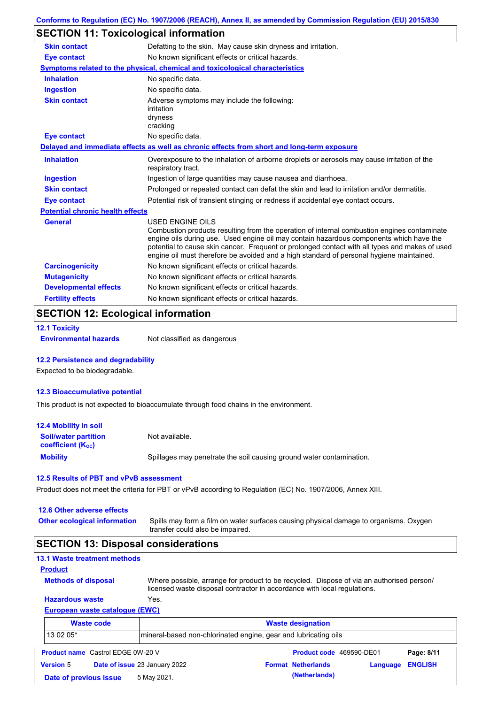# **SECTION 11: Toxicological information**

| <b>Skin contact</b>                     | Defatting to the skin. May cause skin dryness and irritation.                                                                                                                                                                                                                                                                                                                                            |
|-----------------------------------------|----------------------------------------------------------------------------------------------------------------------------------------------------------------------------------------------------------------------------------------------------------------------------------------------------------------------------------------------------------------------------------------------------------|
| <b>Eye contact</b>                      | No known significant effects or critical hazards.                                                                                                                                                                                                                                                                                                                                                        |
|                                         | Symptoms related to the physical, chemical and toxicological characteristics                                                                                                                                                                                                                                                                                                                             |
| <b>Inhalation</b>                       | No specific data.                                                                                                                                                                                                                                                                                                                                                                                        |
| <b>Ingestion</b>                        | No specific data.                                                                                                                                                                                                                                                                                                                                                                                        |
| <b>Skin contact</b>                     | Adverse symptoms may include the following:<br>irritation<br>dryness<br>cracking                                                                                                                                                                                                                                                                                                                         |
| Eye contact                             | No specific data.                                                                                                                                                                                                                                                                                                                                                                                        |
|                                         | Delayed and immediate effects as well as chronic effects from short and long-term exposure                                                                                                                                                                                                                                                                                                               |
| <b>Inhalation</b>                       | Overexposure to the inhalation of airborne droplets or aerosols may cause irritation of the<br>respiratory tract.                                                                                                                                                                                                                                                                                        |
| <b>Ingestion</b>                        | Ingestion of large quantities may cause nausea and diarrhoea.                                                                                                                                                                                                                                                                                                                                            |
| <b>Skin contact</b>                     | Prolonged or repeated contact can defat the skin and lead to irritation and/or dermatitis.                                                                                                                                                                                                                                                                                                               |
| <b>Eye contact</b>                      | Potential risk of transient stinging or redness if accidental eye contact occurs.                                                                                                                                                                                                                                                                                                                        |
| <b>Potential chronic health effects</b> |                                                                                                                                                                                                                                                                                                                                                                                                          |
| General                                 | USED ENGINE OILS<br>Combustion products resulting from the operation of internal combustion engines contaminate<br>engine oils during use. Used engine oil may contain hazardous components which have the<br>potential to cause skin cancer. Frequent or prolonged contact with all types and makes of used<br>engine oil must therefore be avoided and a high standard of personal hygiene maintained. |
| <b>Carcinogenicity</b>                  | No known significant effects or critical hazards.                                                                                                                                                                                                                                                                                                                                                        |
| <b>Mutagenicity</b>                     | No known significant effects or critical hazards.                                                                                                                                                                                                                                                                                                                                                        |
| <b>Developmental effects</b>            | No known significant effects or critical hazards.                                                                                                                                                                                                                                                                                                                                                        |
| <b>Fertility effects</b>                | No known significant effects or critical hazards.                                                                                                                                                                                                                                                                                                                                                        |

## **SECTION 12: Ecological information**

```
12.1 Toxicity
```
**Environmental hazards** Not classified as dangerous

#### **12.2 Persistence and degradability**

Expected to be biodegradable.

#### **12.3 Bioaccumulative potential**

This product is not expected to bioaccumulate through food chains in the environment.

| <b>12.4 Mobility in soil</b>                                  |                                                                      |
|---------------------------------------------------------------|----------------------------------------------------------------------|
| <b>Soil/water partition</b><br>coefficient (K <sub>oc</sub> ) | Not available.                                                       |
| <b>Mobility</b>                                               | Spillages may penetrate the soil causing ground water contamination. |

#### **12.5 Results of PBT and vPvB assessment**

Product does not meet the criteria for PBT or vPvB according to Regulation (EC) No. 1907/2006, Annex XIII.

**Date of previous issue 5 May 2021. (Netherlands) (Netherlands)** 

| 12.6 Other adverse effects |  |  |  |
|----------------------------|--|--|--|
|----------------------------|--|--|--|

Spills may form a film on water surfaces causing physical damage to organisms. Oxygen transfer could also be impaired. **Other ecological information**

## **SECTION 13: Disposal considerations**

|                            | <b>13.1 Waste treatment methods</b>      |                                                                                                                                                                      |                           |          |                |
|----------------------------|------------------------------------------|----------------------------------------------------------------------------------------------------------------------------------------------------------------------|---------------------------|----------|----------------|
| <b>Product</b>             |                                          |                                                                                                                                                                      |                           |          |                |
| <b>Methods of disposal</b> |                                          | Where possible, arrange for product to be recycled. Dispose of via an authorised person/<br>licensed waste disposal contractor in accordance with local regulations. |                           |          |                |
| <b>Hazardous waste</b>     |                                          | Yes.                                                                                                                                                                 |                           |          |                |
|                            | European waste catalogue (EWC)           |                                                                                                                                                                      |                           |          |                |
|                            | <b>Waste code</b>                        |                                                                                                                                                                      | <b>Waste designation</b>  |          |                |
| 13 02 05*                  |                                          | mineral-based non-chlorinated engine, gear and lubricating oils                                                                                                      |                           |          |                |
|                            | <b>Product name</b> Castrol EDGE 0W-20 V |                                                                                                                                                                      | Product code 469590-DE01  |          | Page: 8/11     |
| <b>Version 5</b>           |                                          | Date of issue 23 January 2022                                                                                                                                        | <b>Format Netherlands</b> | Language | <b>ENGLISH</b> |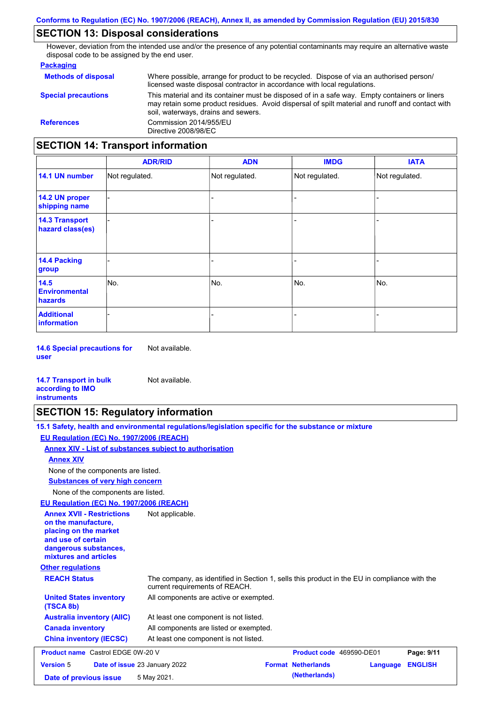## **SECTION 13: Disposal considerations**

However, deviation from the intended use and/or the presence of any potential contaminants may require an alternative waste disposal code to be assigned by the end user.

#### **Packaging**

| <b>Methods of disposal</b>               | Where possible, arrange for product to be recycled. Dispose of via an authorised person/<br>licensed waste disposal contractor in accordance with local regulations.                                                                    |  |  |
|------------------------------------------|-----------------------------------------------------------------------------------------------------------------------------------------------------------------------------------------------------------------------------------------|--|--|
| <b>Special precautions</b>               | This material and its container must be disposed of in a safe way. Empty containers or liners<br>may retain some product residues. Avoid dispersal of spilt material and runoff and contact with<br>soil, waterways, drains and sewers. |  |  |
| <b>References</b>                        | Commission 2014/955/EU<br>Directive 2008/98/EC                                                                                                                                                                                          |  |  |
| <b>SECTION 14: Transport information</b> |                                                                                                                                                                                                                                         |  |  |

#### - - - - - - - - - Not regulated. Not regulated. Not regulated. - - - **ADR/RID IMDG IATA 14.1 UN number 14.2 UN proper shipping name 14.3 Transport hazard class(es) 14.4 Packing group ADN Additional information 14.5 Environmental hazards** No. 1980 | No. 1980 | No. 1980 | No. 1980 | No. 1980 | No. 1980 | No. 1980 | No. 1980 | No. 1980 | No. 1980 | Not regulated. - No. - -

**14.6 Special precautions for user** Not available.

#### **14.7 Transport in bulk according to IMO instruments**

## **SECTION 15: Regulatory information**

Not available.

| 15.1 Safety, health and environmental regulations/legislation specific for the substance or mixture |
|-----------------------------------------------------------------------------------------------------|
| EU Regulation (EC) No. 1907/2006 (REACH)                                                            |
| Annex XIV - List of substances subject to authorisation                                             |
| <b>Annex XIV</b>                                                                                    |
| None of the components are listed.                                                                  |
| <b>Substances of very high concern</b>                                                              |
| None of the components are listed.                                                                  |
| EU Regulation (EC) No. 1907/2006 (REACH)                                                            |
| <b>Annex XVII - Restrictions</b><br>Not annlicable                                                  |

| <b>Annex XVII - Restrictions</b><br>on the manufacture.<br>placing on the market<br>and use of certain<br>dangerous substances,<br>mixtures and articles | Not applicable.                                                                                                                |                           |          |                |
|----------------------------------------------------------------------------------------------------------------------------------------------------------|--------------------------------------------------------------------------------------------------------------------------------|---------------------------|----------|----------------|
| <b>Other regulations</b>                                                                                                                                 |                                                                                                                                |                           |          |                |
| <b>REACH Status</b>                                                                                                                                      | The company, as identified in Section 1, sells this product in the EU in compliance with the<br>current requirements of REACH. |                           |          |                |
| <b>United States inventory</b><br>(TSCA 8b)                                                                                                              | All components are active or exempted.                                                                                         |                           |          |                |
| <b>Australia inventory (AIIC)</b>                                                                                                                        | At least one component is not listed.                                                                                          |                           |          |                |
| <b>Canada inventory</b>                                                                                                                                  | All components are listed or exempted.                                                                                         |                           |          |                |
| <b>China inventory (IECSC)</b>                                                                                                                           | At least one component is not listed.                                                                                          |                           |          |                |
| <b>Product name</b> Castrol EDGE 0W-20 V                                                                                                                 |                                                                                                                                | Product code 469590-DE01  |          | Page: 9/11     |
| <b>Version 5</b>                                                                                                                                         | Date of issue 23 January 2022                                                                                                  | <b>Format Netherlands</b> | Language | <b>ENGLISH</b> |
| Date of previous issue                                                                                                                                   | 5 May 2021.                                                                                                                    | (Netherlands)             |          |                |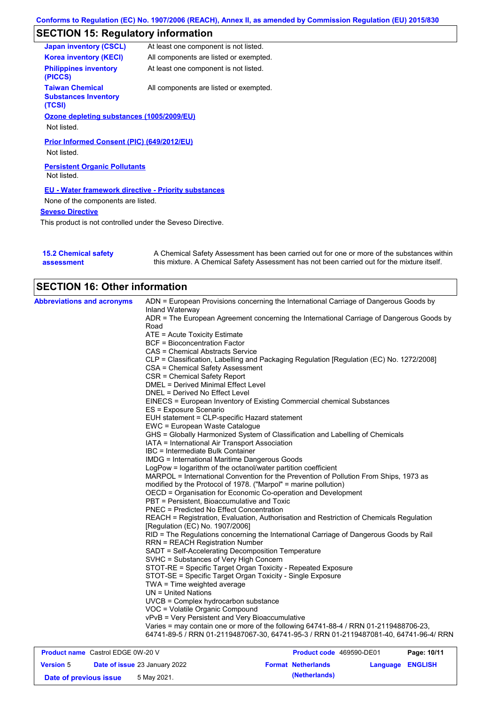# **SECTION 15: Regulatory information**

| <b>Japan inventory (CSCL)</b>                                   | At least one component is not listed.  |
|-----------------------------------------------------------------|----------------------------------------|
| <b>Korea inventory (KECI)</b>                                   | All components are listed or exempted. |
| <b>Philippines inventory</b><br>(PICCS)                         | At least one component is not listed.  |
| <b>Taiwan Chemical</b><br><b>Substances Inventory</b><br>(TCSI) | All components are listed or exempted. |
| Ozone depleting substances (1005/2009/EU)                       |                                        |
| Not listed.                                                     |                                        |
| Prior Informed Consent (PIC) (649/2012/EU)                      |                                        |
| Not listed.                                                     |                                        |
| <b>Persistent Organic Pollutants</b><br>Not listed.             |                                        |
| <b>EU - Water framework directive - Priority substances</b>     |                                        |
| None of the components are listed.                              |                                        |
| <b>Seveso Directive</b>                                         |                                        |
|                                                                 |                                        |

This product is not controlled under the Seveso Directive.

| <b>15.2 Chemical safety</b> | A Chemical Safety Assessment has been carried out for one or more of the substances within  |
|-----------------------------|---------------------------------------------------------------------------------------------|
| assessment                  | this mixture. A Chemical Safety Assessment has not been carried out for the mixture itself. |

| <b>SECTION 16: Other information</b>     |                                                                                                          |
|------------------------------------------|----------------------------------------------------------------------------------------------------------|
| <b>Abbreviations and acronyms</b>        | ADN = European Provisions concerning the International Carriage of Dangerous Goods by<br>Inland Waterway |
|                                          | ADR = The European Agreement concerning the International Carriage of Dangerous Goods by                 |
|                                          | Road                                                                                                     |
|                                          | ATE = Acute Toxicity Estimate                                                                            |
|                                          | <b>BCF = Bioconcentration Factor</b>                                                                     |
|                                          | CAS = Chemical Abstracts Service                                                                         |
|                                          | CLP = Classification, Labelling and Packaging Regulation [Regulation (EC) No. 1272/2008]                 |
|                                          | CSA = Chemical Safety Assessment                                                                         |
|                                          | CSR = Chemical Safety Report                                                                             |
|                                          | DMEL = Derived Minimal Effect Level                                                                      |
|                                          | DNEL = Derived No Effect Level                                                                           |
|                                          | EINECS = European Inventory of Existing Commercial chemical Substances                                   |
|                                          | ES = Exposure Scenario                                                                                   |
|                                          | EUH statement = CLP-specific Hazard statement                                                            |
|                                          | EWC = European Waste Catalogue                                                                           |
|                                          | GHS = Globally Harmonized System of Classification and Labelling of Chemicals                            |
|                                          | IATA = International Air Transport Association                                                           |
|                                          | IBC = Intermediate Bulk Container                                                                        |
|                                          | <b>IMDG</b> = International Maritime Dangerous Goods                                                     |
|                                          | LogPow = logarithm of the octanol/water partition coefficient                                            |
|                                          | MARPOL = International Convention for the Prevention of Pollution From Ships, 1973 as                    |
|                                          | modified by the Protocol of 1978. ("Marpol" = marine pollution)                                          |
|                                          | OECD = Organisation for Economic Co-operation and Development                                            |
|                                          | PBT = Persistent, Bioaccumulative and Toxic                                                              |
|                                          | PNEC = Predicted No Effect Concentration                                                                 |
|                                          | REACH = Registration, Evaluation, Authorisation and Restriction of Chemicals Regulation                  |
|                                          | [Regulation (EC) No. 1907/2006]                                                                          |
|                                          | RID = The Regulations concerning the International Carriage of Dangerous Goods by Rail                   |
|                                          | <b>RRN = REACH Registration Number</b>                                                                   |
|                                          | SADT = Self-Accelerating Decomposition Temperature                                                       |
|                                          | SVHC = Substances of Very High Concern                                                                   |
|                                          | STOT-RE = Specific Target Organ Toxicity - Repeated Exposure                                             |
|                                          | STOT-SE = Specific Target Organ Toxicity - Single Exposure                                               |
|                                          | $TWA = Time weighted average$                                                                            |
|                                          | $UN = United Nations$                                                                                    |
|                                          | UVCB = Complex hydrocarbon substance                                                                     |
|                                          | VOC = Volatile Organic Compound                                                                          |
|                                          | vPvB = Very Persistent and Very Bioaccumulative                                                          |
|                                          | Varies = may contain one or more of the following 64741-88-4 / RRN 01-2119488706-23,                     |
|                                          | 64741-89-5 / RRN 01-2119487067-30, 64741-95-3 / RRN 01-2119487081-40, 64741-96-4/ RRN                    |
| <b>Product name</b> Castrol EDGE 0W-20 V | Product code 469590-DE01<br>Page: 10/11                                                                  |

| <b>Product name</b> Castrol EDGE 0W-20 V |  | <b>Product code</b> 469590-DE01      |                           | Page: 10/11             |  |
|------------------------------------------|--|--------------------------------------|---------------------------|-------------------------|--|
| <b>Version 5</b>                         |  | <b>Date of issue 23 January 2022</b> | <b>Format Netherlands</b> | <b>Language ENGLISH</b> |  |
| Date of previous issue                   |  | 5 May 2021.                          | (Netherlands)             |                         |  |